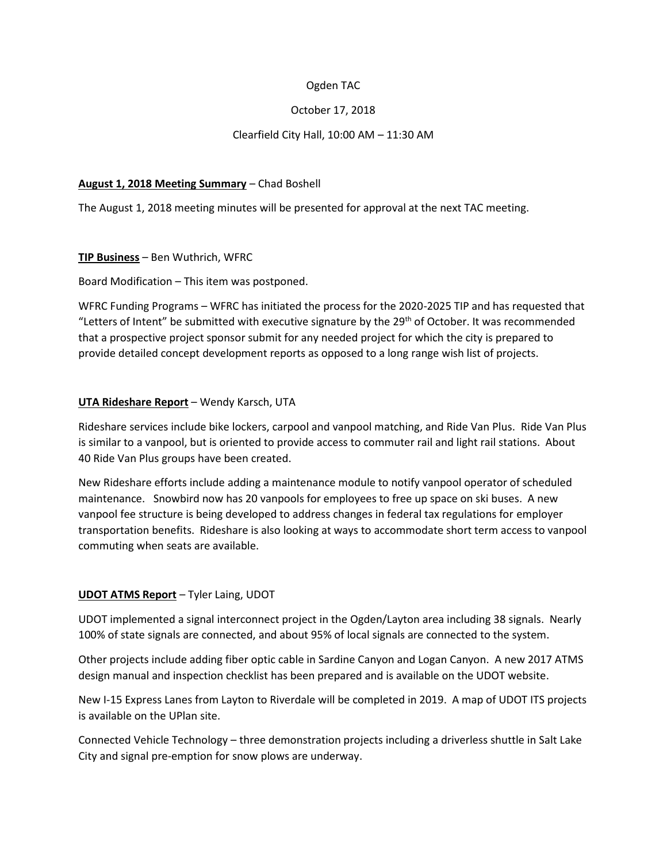## Ogden TAC

## October 17, 2018

## Clearfield City Hall, 10:00 AM – 11:30 AM

#### **August 1, 2018 Meeting Summary** – Chad Boshell

The August 1, 2018 meeting minutes will be presented for approval at the next TAC meeting.

#### **TIP Business** – Ben Wuthrich, WFRC

Board Modification – This item was postponed.

WFRC Funding Programs – WFRC has initiated the process for the 2020-2025 TIP and has requested that "Letters of Intent" be submitted with executive signature by the  $29<sup>th</sup>$  of October. It was recommended that a prospective project sponsor submit for any needed project for which the city is prepared to provide detailed concept development reports as opposed to a long range wish list of projects.

## **UTA Rideshare Report** – Wendy Karsch, UTA

Rideshare services include bike lockers, carpool and vanpool matching, and Ride Van Plus. Ride Van Plus is similar to a vanpool, but is oriented to provide access to commuter rail and light rail stations. About 40 Ride Van Plus groups have been created.

New Rideshare efforts include adding a maintenance module to notify vanpool operator of scheduled maintenance. Snowbird now has 20 vanpools for employees to free up space on ski buses. A new vanpool fee structure is being developed to address changes in federal tax regulations for employer transportation benefits. Rideshare is also looking at ways to accommodate short term access to vanpool commuting when seats are available.

## **UDOT ATMS Report** – Tyler Laing, UDOT

UDOT implemented a signal interconnect project in the Ogden/Layton area including 38 signals. Nearly 100% of state signals are connected, and about 95% of local signals are connected to the system.

Other projects include adding fiber optic cable in Sardine Canyon and Logan Canyon. A new 2017 ATMS design manual and inspection checklist has been prepared and is available on the UDOT website.

New I-15 Express Lanes from Layton to Riverdale will be completed in 2019. A map of UDOT ITS projects is available on the UPlan site.

Connected Vehicle Technology – three demonstration projects including a driverless shuttle in Salt Lake City and signal pre-emption for snow plows are underway.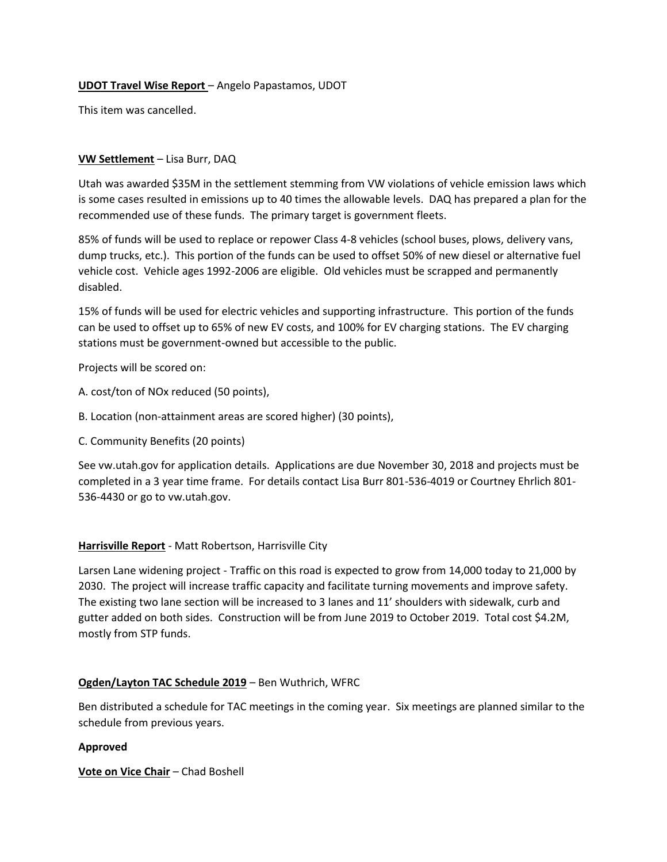## **UDOT Travel Wise Report** – Angelo Papastamos, UDOT

This item was cancelled.

#### **VW Settlement** – Lisa Burr, DAQ

Utah was awarded \$35M in the settlement stemming from VW violations of vehicle emission laws which is some cases resulted in emissions up to 40 times the allowable levels. DAQ has prepared a plan for the recommended use of these funds. The primary target is government fleets.

85% of funds will be used to replace or repower Class 4-8 vehicles (school buses, plows, delivery vans, dump trucks, etc.). This portion of the funds can be used to offset 50% of new diesel or alternative fuel vehicle cost. Vehicle ages 1992-2006 are eligible. Old vehicles must be scrapped and permanently disabled.

15% of funds will be used for electric vehicles and supporting infrastructure. This portion of the funds can be used to offset up to 65% of new EV costs, and 100% for EV charging stations. The EV charging stations must be government-owned but accessible to the public.

Projects will be scored on:

- A. cost/ton of NOx reduced (50 points),
- B. Location (non-attainment areas are scored higher) (30 points),
- C. Community Benefits (20 points)

See vw.utah.gov for application details. Applications are due November 30, 2018 and projects must be completed in a 3 year time frame. For details contact Lisa Burr 801-536-4019 or Courtney Ehrlich 801- 536-4430 or go to vw.utah.gov.

#### **Harrisville Report** - Matt Robertson, Harrisville City

Larsen Lane widening project - Traffic on this road is expected to grow from 14,000 today to 21,000 by 2030. The project will increase traffic capacity and facilitate turning movements and improve safety. The existing two lane section will be increased to 3 lanes and 11' shoulders with sidewalk, curb and gutter added on both sides. Construction will be from June 2019 to October 2019. Total cost \$4.2M, mostly from STP funds.

#### **Ogden/Layton TAC Schedule 2019** – Ben Wuthrich, WFRC

Ben distributed a schedule for TAC meetings in the coming year. Six meetings are planned similar to the schedule from previous years.

#### **Approved**

**Vote on Vice Chair** – Chad Boshell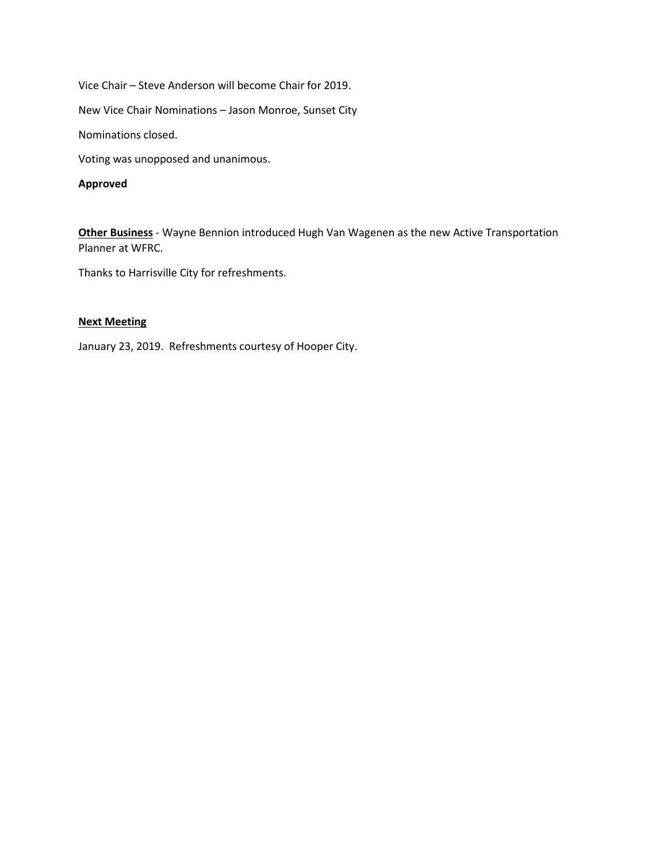Vice Chair – Steve Anderson will become Chair for 2019.

New Vice Chair Nominations – Jason Monroe, Sunset City

Nominations closed.

Voting was unopposed and unanimous.

#### **Approved**

**Other Business** - Wayne Bennion introduced Hugh Van Wagenen as the new Active Transportation Planner at WFRC.

Thanks to Harrisville City for refreshments.

## **Next Meeting**

January 23, 2019. Refreshments courtesy of Hooper City.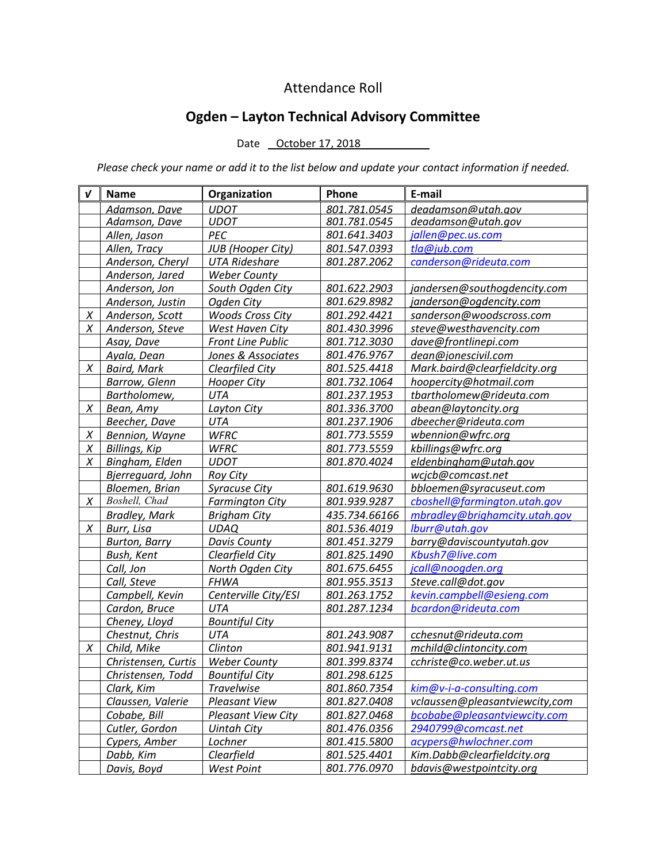## Attendance Roll

# **Ogden – Layton Technical Advisory Committee**

## Date October 17, 2018

*Please check your name or add it to the list below and update your contact information if needed.*

| V | <b>Name</b>                        | Organization              | Phone         | E-mail                         |
|---|------------------------------------|---------------------------|---------------|--------------------------------|
|   | Adamson, Dave                      | <b>UDOT</b>               | 801.781.0545  | deadamson@utah.gov             |
|   | Adamson, Dave                      | <b>UDOT</b>               | 801.781.0545  | deadamson@utah.gov             |
|   | Allen, Jason                       | PEC                       | 801.641.3403  | jallen@pec.us.com              |
|   | Allen, Tracy                       | <b>JUB</b> (Hooper City)  | 801.547.0393  | tla@jub.com                    |
|   | Anderson, Cheryl                   | <b>UTA Rideshare</b>      | 801.287.2062  | canderson@rideuta.com          |
|   | Anderson, Jared                    | <b>Weber County</b>       |               |                                |
|   | Anderson, Jon                      | South Ogden City          | 801.622.2903  | jandersen@southogdencity.com   |
|   | Anderson, Justin                   | Ogden City                | 801.629.8982  | janderson@ogdencity.com        |
| X | Anderson, Scott                    | <b>Woods Cross City</b>   | 801.292.4421  | sanderson@woodscross.com       |
| X | Anderson, Steve                    | West Haven City           | 801.430.3996  | steve@westhavencity.com        |
|   | Asay, Dave                         | <b>Front Line Public</b>  | 801.712.3030  | dave@frontlinepi.com           |
|   | Ayala, Dean                        | Jones & Associates        | 801.476.9767  | dean@jonescivil.com            |
| X | <b>Baird, Mark</b>                 | Clearfiled City           | 801.525.4418  | Mark.baird@clearfieldcity.org  |
|   | <b>Barrow, Glenn</b>               | <b>Hooper City</b>        | 801.732.1064  | hoopercity@hotmail.com         |
|   | Bartholomew,                       | UTA                       | 801.237.1953  | tbartholomew@rideuta.com       |
| X | Bean, Amy                          | Layton City               | 801.336.3700  | abean@laytoncity.org           |
|   | Beecher, Dave                      | <b>UTA</b>                | 801.237.1906  | dbeecher@rideuta.com           |
| X | Bennion, Wayne                     | <b>WFRC</b>               | 801.773.5559  | wbennion@wfrc.org              |
| X | Billings, Kip                      | <b>WFRC</b>               | 801.773.5559  | kbillings@wfrc.org             |
| X | Bingham, Elden                     | <b>UDOT</b>               | 801.870.4024  | eldenbingham@utah.gov          |
|   | Bjerreguard, John                  | <b>Roy City</b>           |               | wcjcb@comcast.net              |
|   | Bloemen, Brian                     | <b>Syracuse City</b>      | 801.619.9630  | bbloemen@syracuseut.com        |
| X | Boshell, Chad                      | <b>Farmington City</b>    | 801.939.9287  | cboshell@farmington.utah.gov   |
|   | <b>Bradley, Mark</b>               | <b>Brigham City</b>       | 435.734.66166 | mbradley@brighamcity.utah.gov  |
| X | Burr, Lisa                         | <b>UDAQ</b>               | 801.536.4019  | lburr@utah.gov                 |
|   | <b>Burton, Barry</b>               | <b>Davis County</b>       | 801.451.3279  | barry@daviscountyutah.gov      |
|   | Bush, Kent                         | Clearfield City           | 801.825.1490  | Kbush7@live.com                |
|   | Call, Jon                          | North Ogden City          | 801.675.6455  | jcall@noogden.org              |
|   | Call, Steve                        | <b>FHWA</b>               | 801.955.3513  | Steve.call@dot.gov             |
|   | Campbell, Kevin                    | Centerville City/ESI      | 801.263.1752  | kevin.campbell@esieng.com      |
|   | Cardon, Bruce                      | UTA                       | 801.287.1234  | bcardon@rideuta.com            |
|   | Cheney, Lloyd                      | <b>Bountiful City</b>     |               |                                |
|   | Chestnut, Chris                    | UTA                       | 801.243.9087  | cchesnut@rideuta.com           |
| X | Child, Mike                        | Clinton                   | 801.941.9131  | mchild@clintoncity.com         |
|   | Christensen, Curtis                | <b>Weber County</b>       | 801.399.8374  | cchriste@co.weber.ut.us        |
|   | Christensen, Todd   Bountiful City |                           | 801.298.6125  |                                |
|   | Clark, Kim                         | <b>Travelwise</b>         | 801.860.7354  | kim@v-i-a-consulting.com       |
|   | Claussen, Valerie                  | <b>Pleasant View</b>      | 801.827.0408  | vclaussen@pleasantviewcity,com |
|   | Cobabe, Bill                       | <b>Pleasant View City</b> | 801.827.0468  | bcobabe@pleasantviewcity.com   |
|   | Cutler, Gordon                     | <b>Uintah City</b>        | 801.476.0356  | 2940799@comcast.net            |
|   | Cypers, Amber                      | Lochner                   | 801.415.5800  | acypers@hwlochner.com          |
|   | Dabb, Kim                          | Clearfield                | 801.525.4401  | Kim.Dabb@clearfieldcity.org    |
|   | Davis, Boyd                        | West Point                | 801.776.0970  | bdavis@westpointcity.org       |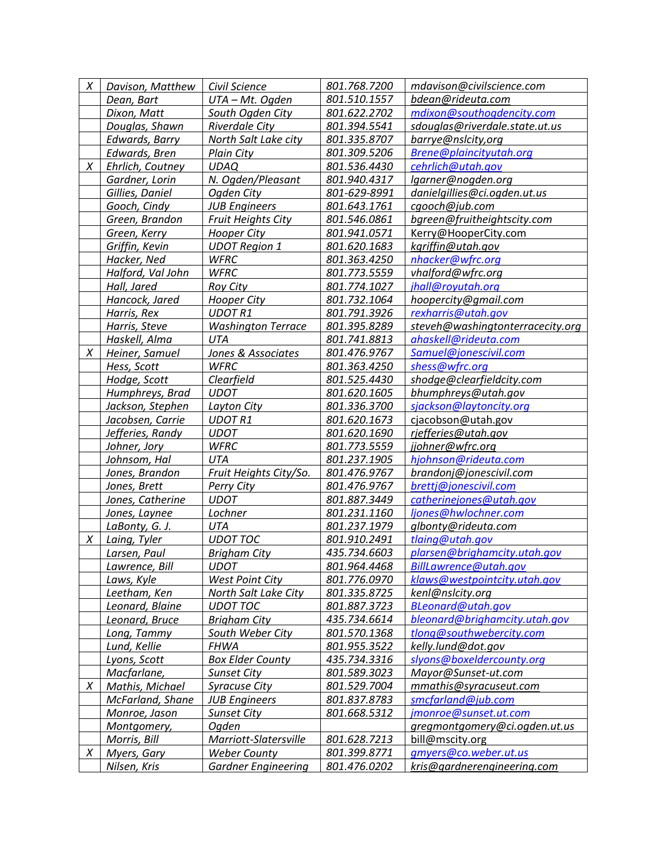|            | Civil Science                                                                                                                                                                                                                                                                                                                                                                                                                                                                                                                                                                                                                                                                                                                                                                                                                                                                             | 801.768.7200                                                                                                                                                                                                                                                                                                                                                                                                                                                                                                                                                                                                                                                                                                                                                                                                                                                                                                                                                                | mdavison@civilscience.com                                                                                                                                                                                                                                                                                                                                                                                                                                                                                                                                                                                                                                                                                                                    |
|------------|-------------------------------------------------------------------------------------------------------------------------------------------------------------------------------------------------------------------------------------------------------------------------------------------------------------------------------------------------------------------------------------------------------------------------------------------------------------------------------------------------------------------------------------------------------------------------------------------------------------------------------------------------------------------------------------------------------------------------------------------------------------------------------------------------------------------------------------------------------------------------------------------|-----------------------------------------------------------------------------------------------------------------------------------------------------------------------------------------------------------------------------------------------------------------------------------------------------------------------------------------------------------------------------------------------------------------------------------------------------------------------------------------------------------------------------------------------------------------------------------------------------------------------------------------------------------------------------------------------------------------------------------------------------------------------------------------------------------------------------------------------------------------------------------------------------------------------------------------------------------------------------|----------------------------------------------------------------------------------------------------------------------------------------------------------------------------------------------------------------------------------------------------------------------------------------------------------------------------------------------------------------------------------------------------------------------------------------------------------------------------------------------------------------------------------------------------------------------------------------------------------------------------------------------------------------------------------------------------------------------------------------------|
| Dean, Bart |                                                                                                                                                                                                                                                                                                                                                                                                                                                                                                                                                                                                                                                                                                                                                                                                                                                                                           | 801.510.1557                                                                                                                                                                                                                                                                                                                                                                                                                                                                                                                                                                                                                                                                                                                                                                                                                                                                                                                                                                | bdean@rideuta.com                                                                                                                                                                                                                                                                                                                                                                                                                                                                                                                                                                                                                                                                                                                            |
|            |                                                                                                                                                                                                                                                                                                                                                                                                                                                                                                                                                                                                                                                                                                                                                                                                                                                                                           |                                                                                                                                                                                                                                                                                                                                                                                                                                                                                                                                                                                                                                                                                                                                                                                                                                                                                                                                                                             | mdixon@southogdencity.com                                                                                                                                                                                                                                                                                                                                                                                                                                                                                                                                                                                                                                                                                                                    |
|            |                                                                                                                                                                                                                                                                                                                                                                                                                                                                                                                                                                                                                                                                                                                                                                                                                                                                                           |                                                                                                                                                                                                                                                                                                                                                                                                                                                                                                                                                                                                                                                                                                                                                                                                                                                                                                                                                                             | sdouglas@riverdale.state.ut.us                                                                                                                                                                                                                                                                                                                                                                                                                                                                                                                                                                                                                                                                                                               |
|            |                                                                                                                                                                                                                                                                                                                                                                                                                                                                                                                                                                                                                                                                                                                                                                                                                                                                                           |                                                                                                                                                                                                                                                                                                                                                                                                                                                                                                                                                                                                                                                                                                                                                                                                                                                                                                                                                                             | barrye@nslcity,org                                                                                                                                                                                                                                                                                                                                                                                                                                                                                                                                                                                                                                                                                                                           |
|            |                                                                                                                                                                                                                                                                                                                                                                                                                                                                                                                                                                                                                                                                                                                                                                                                                                                                                           |                                                                                                                                                                                                                                                                                                                                                                                                                                                                                                                                                                                                                                                                                                                                                                                                                                                                                                                                                                             | Brene@plaincityutah.org                                                                                                                                                                                                                                                                                                                                                                                                                                                                                                                                                                                                                                                                                                                      |
|            |                                                                                                                                                                                                                                                                                                                                                                                                                                                                                                                                                                                                                                                                                                                                                                                                                                                                                           |                                                                                                                                                                                                                                                                                                                                                                                                                                                                                                                                                                                                                                                                                                                                                                                                                                                                                                                                                                             | cehrlich@utah.gov                                                                                                                                                                                                                                                                                                                                                                                                                                                                                                                                                                                                                                                                                                                            |
|            |                                                                                                                                                                                                                                                                                                                                                                                                                                                                                                                                                                                                                                                                                                                                                                                                                                                                                           |                                                                                                                                                                                                                                                                                                                                                                                                                                                                                                                                                                                                                                                                                                                                                                                                                                                                                                                                                                             | lgarner@nogden.org                                                                                                                                                                                                                                                                                                                                                                                                                                                                                                                                                                                                                                                                                                                           |
|            |                                                                                                                                                                                                                                                                                                                                                                                                                                                                                                                                                                                                                                                                                                                                                                                                                                                                                           |                                                                                                                                                                                                                                                                                                                                                                                                                                                                                                                                                                                                                                                                                                                                                                                                                                                                                                                                                                             | danielgillies@ci.ogden.ut.us                                                                                                                                                                                                                                                                                                                                                                                                                                                                                                                                                                                                                                                                                                                 |
|            |                                                                                                                                                                                                                                                                                                                                                                                                                                                                                                                                                                                                                                                                                                                                                                                                                                                                                           | 801.643.1761                                                                                                                                                                                                                                                                                                                                                                                                                                                                                                                                                                                                                                                                                                                                                                                                                                                                                                                                                                | cgooch@jub.com                                                                                                                                                                                                                                                                                                                                                                                                                                                                                                                                                                                                                                                                                                                               |
|            |                                                                                                                                                                                                                                                                                                                                                                                                                                                                                                                                                                                                                                                                                                                                                                                                                                                                                           | 801.546.0861                                                                                                                                                                                                                                                                                                                                                                                                                                                                                                                                                                                                                                                                                                                                                                                                                                                                                                                                                                | bgreen@fruitheightscity.com                                                                                                                                                                                                                                                                                                                                                                                                                                                                                                                                                                                                                                                                                                                  |
|            |                                                                                                                                                                                                                                                                                                                                                                                                                                                                                                                                                                                                                                                                                                                                                                                                                                                                                           | 801.941.0571                                                                                                                                                                                                                                                                                                                                                                                                                                                                                                                                                                                                                                                                                                                                                                                                                                                                                                                                                                | Kerry@HooperCity.com                                                                                                                                                                                                                                                                                                                                                                                                                                                                                                                                                                                                                                                                                                                         |
|            |                                                                                                                                                                                                                                                                                                                                                                                                                                                                                                                                                                                                                                                                                                                                                                                                                                                                                           |                                                                                                                                                                                                                                                                                                                                                                                                                                                                                                                                                                                                                                                                                                                                                                                                                                                                                                                                                                             | kgriffin@utah.gov                                                                                                                                                                                                                                                                                                                                                                                                                                                                                                                                                                                                                                                                                                                            |
|            |                                                                                                                                                                                                                                                                                                                                                                                                                                                                                                                                                                                                                                                                                                                                                                                                                                                                                           |                                                                                                                                                                                                                                                                                                                                                                                                                                                                                                                                                                                                                                                                                                                                                                                                                                                                                                                                                                             | nhacker@wfrc.org                                                                                                                                                                                                                                                                                                                                                                                                                                                                                                                                                                                                                                                                                                                             |
|            |                                                                                                                                                                                                                                                                                                                                                                                                                                                                                                                                                                                                                                                                                                                                                                                                                                                                                           |                                                                                                                                                                                                                                                                                                                                                                                                                                                                                                                                                                                                                                                                                                                                                                                                                                                                                                                                                                             | vhalford@wfrc.org                                                                                                                                                                                                                                                                                                                                                                                                                                                                                                                                                                                                                                                                                                                            |
|            |                                                                                                                                                                                                                                                                                                                                                                                                                                                                                                                                                                                                                                                                                                                                                                                                                                                                                           |                                                                                                                                                                                                                                                                                                                                                                                                                                                                                                                                                                                                                                                                                                                                                                                                                                                                                                                                                                             | jhall@royutah.org                                                                                                                                                                                                                                                                                                                                                                                                                                                                                                                                                                                                                                                                                                                            |
|            |                                                                                                                                                                                                                                                                                                                                                                                                                                                                                                                                                                                                                                                                                                                                                                                                                                                                                           |                                                                                                                                                                                                                                                                                                                                                                                                                                                                                                                                                                                                                                                                                                                                                                                                                                                                                                                                                                             | hoopercity@gmail.com                                                                                                                                                                                                                                                                                                                                                                                                                                                                                                                                                                                                                                                                                                                         |
|            |                                                                                                                                                                                                                                                                                                                                                                                                                                                                                                                                                                                                                                                                                                                                                                                                                                                                                           |                                                                                                                                                                                                                                                                                                                                                                                                                                                                                                                                                                                                                                                                                                                                                                                                                                                                                                                                                                             | rexharris@utah.gov                                                                                                                                                                                                                                                                                                                                                                                                                                                                                                                                                                                                                                                                                                                           |
|            |                                                                                                                                                                                                                                                                                                                                                                                                                                                                                                                                                                                                                                                                                                                                                                                                                                                                                           |                                                                                                                                                                                                                                                                                                                                                                                                                                                                                                                                                                                                                                                                                                                                                                                                                                                                                                                                                                             | steveh@washingtonterracecity.org                                                                                                                                                                                                                                                                                                                                                                                                                                                                                                                                                                                                                                                                                                             |
|            |                                                                                                                                                                                                                                                                                                                                                                                                                                                                                                                                                                                                                                                                                                                                                                                                                                                                                           |                                                                                                                                                                                                                                                                                                                                                                                                                                                                                                                                                                                                                                                                                                                                                                                                                                                                                                                                                                             | ahaskell@rideuta.com                                                                                                                                                                                                                                                                                                                                                                                                                                                                                                                                                                                                                                                                                                                         |
|            |                                                                                                                                                                                                                                                                                                                                                                                                                                                                                                                                                                                                                                                                                                                                                                                                                                                                                           |                                                                                                                                                                                                                                                                                                                                                                                                                                                                                                                                                                                                                                                                                                                                                                                                                                                                                                                                                                             | Samuel@jonescivil.com                                                                                                                                                                                                                                                                                                                                                                                                                                                                                                                                                                                                                                                                                                                        |
|            |                                                                                                                                                                                                                                                                                                                                                                                                                                                                                                                                                                                                                                                                                                                                                                                                                                                                                           |                                                                                                                                                                                                                                                                                                                                                                                                                                                                                                                                                                                                                                                                                                                                                                                                                                                                                                                                                                             | shess@wfrc.org                                                                                                                                                                                                                                                                                                                                                                                                                                                                                                                                                                                                                                                                                                                               |
|            |                                                                                                                                                                                                                                                                                                                                                                                                                                                                                                                                                                                                                                                                                                                                                                                                                                                                                           |                                                                                                                                                                                                                                                                                                                                                                                                                                                                                                                                                                                                                                                                                                                                                                                                                                                                                                                                                                             | shodge@clearfieldcity.com                                                                                                                                                                                                                                                                                                                                                                                                                                                                                                                                                                                                                                                                                                                    |
|            |                                                                                                                                                                                                                                                                                                                                                                                                                                                                                                                                                                                                                                                                                                                                                                                                                                                                                           |                                                                                                                                                                                                                                                                                                                                                                                                                                                                                                                                                                                                                                                                                                                                                                                                                                                                                                                                                                             | bhumphreys@utah.gov                                                                                                                                                                                                                                                                                                                                                                                                                                                                                                                                                                                                                                                                                                                          |
|            |                                                                                                                                                                                                                                                                                                                                                                                                                                                                                                                                                                                                                                                                                                                                                                                                                                                                                           |                                                                                                                                                                                                                                                                                                                                                                                                                                                                                                                                                                                                                                                                                                                                                                                                                                                                                                                                                                             | sjackson@laytoncity.org                                                                                                                                                                                                                                                                                                                                                                                                                                                                                                                                                                                                                                                                                                                      |
|            |                                                                                                                                                                                                                                                                                                                                                                                                                                                                                                                                                                                                                                                                                                                                                                                                                                                                                           |                                                                                                                                                                                                                                                                                                                                                                                                                                                                                                                                                                                                                                                                                                                                                                                                                                                                                                                                                                             | cjacobson@utah.gov                                                                                                                                                                                                                                                                                                                                                                                                                                                                                                                                                                                                                                                                                                                           |
|            |                                                                                                                                                                                                                                                                                                                                                                                                                                                                                                                                                                                                                                                                                                                                                                                                                                                                                           |                                                                                                                                                                                                                                                                                                                                                                                                                                                                                                                                                                                                                                                                                                                                                                                                                                                                                                                                                                             | rjefferies@utah.gov                                                                                                                                                                                                                                                                                                                                                                                                                                                                                                                                                                                                                                                                                                                          |
|            |                                                                                                                                                                                                                                                                                                                                                                                                                                                                                                                                                                                                                                                                                                                                                                                                                                                                                           |                                                                                                                                                                                                                                                                                                                                                                                                                                                                                                                                                                                                                                                                                                                                                                                                                                                                                                                                                                             | jjohner@wfrc.org                                                                                                                                                                                                                                                                                                                                                                                                                                                                                                                                                                                                                                                                                                                             |
|            |                                                                                                                                                                                                                                                                                                                                                                                                                                                                                                                                                                                                                                                                                                                                                                                                                                                                                           |                                                                                                                                                                                                                                                                                                                                                                                                                                                                                                                                                                                                                                                                                                                                                                                                                                                                                                                                                                             | hjohnson@rideuta.com                                                                                                                                                                                                                                                                                                                                                                                                                                                                                                                                                                                                                                                                                                                         |
|            |                                                                                                                                                                                                                                                                                                                                                                                                                                                                                                                                                                                                                                                                                                                                                                                                                                                                                           |                                                                                                                                                                                                                                                                                                                                                                                                                                                                                                                                                                                                                                                                                                                                                                                                                                                                                                                                                                             | brandonj@jonescivil.com                                                                                                                                                                                                                                                                                                                                                                                                                                                                                                                                                                                                                                                                                                                      |
|            |                                                                                                                                                                                                                                                                                                                                                                                                                                                                                                                                                                                                                                                                                                                                                                                                                                                                                           |                                                                                                                                                                                                                                                                                                                                                                                                                                                                                                                                                                                                                                                                                                                                                                                                                                                                                                                                                                             | brettj@jonescivil.com                                                                                                                                                                                                                                                                                                                                                                                                                                                                                                                                                                                                                                                                                                                        |
|            |                                                                                                                                                                                                                                                                                                                                                                                                                                                                                                                                                                                                                                                                                                                                                                                                                                                                                           |                                                                                                                                                                                                                                                                                                                                                                                                                                                                                                                                                                                                                                                                                                                                                                                                                                                                                                                                                                             | catherinejones@utah.gov                                                                                                                                                                                                                                                                                                                                                                                                                                                                                                                                                                                                                                                                                                                      |
|            |                                                                                                                                                                                                                                                                                                                                                                                                                                                                                                                                                                                                                                                                                                                                                                                                                                                                                           |                                                                                                                                                                                                                                                                                                                                                                                                                                                                                                                                                                                                                                                                                                                                                                                                                                                                                                                                                                             | ljones@hwlochner.com                                                                                                                                                                                                                                                                                                                                                                                                                                                                                                                                                                                                                                                                                                                         |
|            |                                                                                                                                                                                                                                                                                                                                                                                                                                                                                                                                                                                                                                                                                                                                                                                                                                                                                           |                                                                                                                                                                                                                                                                                                                                                                                                                                                                                                                                                                                                                                                                                                                                                                                                                                                                                                                                                                             | glbonty@rideuta.com                                                                                                                                                                                                                                                                                                                                                                                                                                                                                                                                                                                                                                                                                                                          |
|            |                                                                                                                                                                                                                                                                                                                                                                                                                                                                                                                                                                                                                                                                                                                                                                                                                                                                                           |                                                                                                                                                                                                                                                                                                                                                                                                                                                                                                                                                                                                                                                                                                                                                                                                                                                                                                                                                                             | tlaing@utah.gov                                                                                                                                                                                                                                                                                                                                                                                                                                                                                                                                                                                                                                                                                                                              |
|            |                                                                                                                                                                                                                                                                                                                                                                                                                                                                                                                                                                                                                                                                                                                                                                                                                                                                                           |                                                                                                                                                                                                                                                                                                                                                                                                                                                                                                                                                                                                                                                                                                                                                                                                                                                                                                                                                                             | plarsen@brighamcity.utah.gov                                                                                                                                                                                                                                                                                                                                                                                                                                                                                                                                                                                                                                                                                                                 |
|            |                                                                                                                                                                                                                                                                                                                                                                                                                                                                                                                                                                                                                                                                                                                                                                                                                                                                                           |                                                                                                                                                                                                                                                                                                                                                                                                                                                                                                                                                                                                                                                                                                                                                                                                                                                                                                                                                                             | BillLawrence@utah.gov                                                                                                                                                                                                                                                                                                                                                                                                                                                                                                                                                                                                                                                                                                                        |
|            |                                                                                                                                                                                                                                                                                                                                                                                                                                                                                                                                                                                                                                                                                                                                                                                                                                                                                           |                                                                                                                                                                                                                                                                                                                                                                                                                                                                                                                                                                                                                                                                                                                                                                                                                                                                                                                                                                             | klaws@westpointcity.utah.gov                                                                                                                                                                                                                                                                                                                                                                                                                                                                                                                                                                                                                                                                                                                 |
|            |                                                                                                                                                                                                                                                                                                                                                                                                                                                                                                                                                                                                                                                                                                                                                                                                                                                                                           |                                                                                                                                                                                                                                                                                                                                                                                                                                                                                                                                                                                                                                                                                                                                                                                                                                                                                                                                                                             | kenl@nslcity.org                                                                                                                                                                                                                                                                                                                                                                                                                                                                                                                                                                                                                                                                                                                             |
|            |                                                                                                                                                                                                                                                                                                                                                                                                                                                                                                                                                                                                                                                                                                                                                                                                                                                                                           |                                                                                                                                                                                                                                                                                                                                                                                                                                                                                                                                                                                                                                                                                                                                                                                                                                                                                                                                                                             | BLeonard@utah.gov                                                                                                                                                                                                                                                                                                                                                                                                                                                                                                                                                                                                                                                                                                                            |
|            |                                                                                                                                                                                                                                                                                                                                                                                                                                                                                                                                                                                                                                                                                                                                                                                                                                                                                           |                                                                                                                                                                                                                                                                                                                                                                                                                                                                                                                                                                                                                                                                                                                                                                                                                                                                                                                                                                             | bleonard@brighamcity.utah.gov                                                                                                                                                                                                                                                                                                                                                                                                                                                                                                                                                                                                                                                                                                                |
|            |                                                                                                                                                                                                                                                                                                                                                                                                                                                                                                                                                                                                                                                                                                                                                                                                                                                                                           |                                                                                                                                                                                                                                                                                                                                                                                                                                                                                                                                                                                                                                                                                                                                                                                                                                                                                                                                                                             | tlong@southwebercity.com                                                                                                                                                                                                                                                                                                                                                                                                                                                                                                                                                                                                                                                                                                                     |
|            |                                                                                                                                                                                                                                                                                                                                                                                                                                                                                                                                                                                                                                                                                                                                                                                                                                                                                           |                                                                                                                                                                                                                                                                                                                                                                                                                                                                                                                                                                                                                                                                                                                                                                                                                                                                                                                                                                             | kelly.lund@dot.gov                                                                                                                                                                                                                                                                                                                                                                                                                                                                                                                                                                                                                                                                                                                           |
|            |                                                                                                                                                                                                                                                                                                                                                                                                                                                                                                                                                                                                                                                                                                                                                                                                                                                                                           |                                                                                                                                                                                                                                                                                                                                                                                                                                                                                                                                                                                                                                                                                                                                                                                                                                                                                                                                                                             | slyons@boxeldercounty.org                                                                                                                                                                                                                                                                                                                                                                                                                                                                                                                                                                                                                                                                                                                    |
|            |                                                                                                                                                                                                                                                                                                                                                                                                                                                                                                                                                                                                                                                                                                                                                                                                                                                                                           |                                                                                                                                                                                                                                                                                                                                                                                                                                                                                                                                                                                                                                                                                                                                                                                                                                                                                                                                                                             | Mayor@Sunset-ut.com                                                                                                                                                                                                                                                                                                                                                                                                                                                                                                                                                                                                                                                                                                                          |
|            |                                                                                                                                                                                                                                                                                                                                                                                                                                                                                                                                                                                                                                                                                                                                                                                                                                                                                           |                                                                                                                                                                                                                                                                                                                                                                                                                                                                                                                                                                                                                                                                                                                                                                                                                                                                                                                                                                             | mmathis@syracuseut.com                                                                                                                                                                                                                                                                                                                                                                                                                                                                                                                                                                                                                                                                                                                       |
|            |                                                                                                                                                                                                                                                                                                                                                                                                                                                                                                                                                                                                                                                                                                                                                                                                                                                                                           |                                                                                                                                                                                                                                                                                                                                                                                                                                                                                                                                                                                                                                                                                                                                                                                                                                                                                                                                                                             | smcfarland@jub.com                                                                                                                                                                                                                                                                                                                                                                                                                                                                                                                                                                                                                                                                                                                           |
|            |                                                                                                                                                                                                                                                                                                                                                                                                                                                                                                                                                                                                                                                                                                                                                                                                                                                                                           |                                                                                                                                                                                                                                                                                                                                                                                                                                                                                                                                                                                                                                                                                                                                                                                                                                                                                                                                                                             | jmonroe@sunset.ut.com                                                                                                                                                                                                                                                                                                                                                                                                                                                                                                                                                                                                                                                                                                                        |
|            |                                                                                                                                                                                                                                                                                                                                                                                                                                                                                                                                                                                                                                                                                                                                                                                                                                                                                           |                                                                                                                                                                                                                                                                                                                                                                                                                                                                                                                                                                                                                                                                                                                                                                                                                                                                                                                                                                             | gregmontgomery@ci.ogden.ut.us                                                                                                                                                                                                                                                                                                                                                                                                                                                                                                                                                                                                                                                                                                                |
|            |                                                                                                                                                                                                                                                                                                                                                                                                                                                                                                                                                                                                                                                                                                                                                                                                                                                                                           |                                                                                                                                                                                                                                                                                                                                                                                                                                                                                                                                                                                                                                                                                                                                                                                                                                                                                                                                                                             | bill@mscity.org                                                                                                                                                                                                                                                                                                                                                                                                                                                                                                                                                                                                                                                                                                                              |
|            |                                                                                                                                                                                                                                                                                                                                                                                                                                                                                                                                                                                                                                                                                                                                                                                                                                                                                           |                                                                                                                                                                                                                                                                                                                                                                                                                                                                                                                                                                                                                                                                                                                                                                                                                                                                                                                                                                             | gmyers@co.weber.ut.us                                                                                                                                                                                                                                                                                                                                                                                                                                                                                                                                                                                                                                                                                                                        |
|            |                                                                                                                                                                                                                                                                                                                                                                                                                                                                                                                                                                                                                                                                                                                                                                                                                                                                                           |                                                                                                                                                                                                                                                                                                                                                                                                                                                                                                                                                                                                                                                                                                                                                                                                                                                                                                                                                                             |                                                                                                                                                                                                                                                                                                                                                                                                                                                                                                                                                                                                                                                                                                                                              |
|            | Davison, Matthew<br>Dixon, Matt<br>Douglas, Shawn<br>Edwards, Barry<br>Edwards, Bren<br>Ehrlich, Coutney<br>Gardner, Lorin<br>Gillies, Daniel<br>Gooch, Cindy<br>Green, Brandon<br>Green, Kerry<br>Griffin, Kevin<br>Hacker, Ned<br>Halford, Val John<br>Hall, Jared<br>Hancock, Jared<br>Harris, Rex<br>Harris, Steve<br>Haskell, Alma<br>Heiner, Samuel<br>Hess, Scott<br>Hodge, Scott<br>Humphreys, Brad<br>Jackson, Stephen<br>Jacobsen, Carrie<br>Jefferies, Randy<br>Johner, Jory<br>Johnsom, Hal<br>Jones, Brandon<br>Jones, Brett<br>Jones, Catherine<br>Jones, Laynee<br>LaBonty, G. J.<br>Laing, Tyler<br>Larsen, Paul<br>Lawrence, Bill<br>Laws, Kyle<br>Leetham, Ken<br>Leonard, Blaine<br>Leonard, Bruce<br>Long, Tammy<br>Lund, Kellie<br>Lyons, Scott<br>Macfarlane,<br>Mathis, Michael<br>McFarland, Shane<br>Monroe, Jason<br>Montgomery,<br>Morris, Bill<br>Myers, Gary | UTA - Mt. Ogden<br>South Ogden City<br><b>Riverdale City</b><br>North Salt Lake city<br><b>Plain City</b><br><b>UDAQ</b><br>N. Ogden/Pleasant<br>Ogden City<br><b>JUB Engineers</b><br><b>Fruit Heights City</b><br><b>Hooper City</b><br><b>UDOT Region 1</b><br><b>WFRC</b><br>WFRC<br><b>Roy City</b><br><b>Hooper City</b><br><b>UDOTR1</b><br><b>Washington Terrace</b><br>UTA<br>Jones & Associates<br><b>WFRC</b><br>Clearfield<br><b>UDOT</b><br>Layton City<br><b>UDOTR1</b><br><b>UDOT</b><br><b>WFRC</b><br><b>UTA</b><br>Fruit Heights City/So.<br><b>Perry City</b><br><b>UDOT</b><br>Lochner<br>UTA<br><b>UDOT TOC</b><br><b>Brigham City</b><br>UDOT<br>West Point City<br>North Salt Lake City<br><b>UDOT TOC</b><br><b>Brigham City</b><br>South Weber City<br><b>FHWA</b><br><b>Box Elder County</b><br><b>Sunset City</b><br><b>Syracuse City</b><br><b>JUB Engineers</b><br><b>Sunset City</b><br>Ogden<br>Marriott-Slatersville<br><b>Weber County</b> | 801.622.2702<br>801.394.5541<br>801.335.8707<br>801.309.5206<br>801.536.4430<br>801.940.4317<br>801-629-8991<br>801.620.1683<br>801.363.4250<br>801.773.5559<br>801.774.1027<br>801.732.1064<br>801.791.3926<br>801.395.8289<br>801.741.8813<br>801.476.9767<br>801.363.4250<br>801.525.4430<br>801.620.1605<br>801.336.3700<br>801.620.1673<br>801.620.1690<br>801.773.5559<br>801.237.1905<br>801.476.9767<br>801.476.9767<br>801.887.3449<br>801.231.1160<br>801.237.1979<br>801.910.2491<br>435.734.6603<br>801.964.4468<br>801.776.0970<br>801.335.8725<br>801.887.3723<br>435.734.6614<br>801.570.1368<br>801.955.3522<br>435.734.3316<br>801.589.3023<br>801.529.7004<br>801.837.8783<br>801.668.5312<br>801.628.7213<br>801.399.8771 |